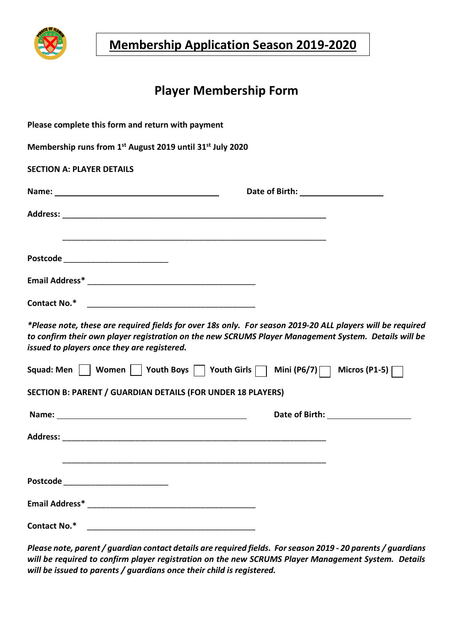

**Membership Application Season 2019-2020**

# **Player Membership Form**

| Please complete this form and return with payment                                                                                                                                                                                                                 |  |
|-------------------------------------------------------------------------------------------------------------------------------------------------------------------------------------------------------------------------------------------------------------------|--|
| Membership runs from 1st August 2019 until 31st July 2020                                                                                                                                                                                                         |  |
| <b>SECTION A: PLAYER DETAILS</b>                                                                                                                                                                                                                                  |  |
|                                                                                                                                                                                                                                                                   |  |
|                                                                                                                                                                                                                                                                   |  |
| Postcode _____________________________                                                                                                                                                                                                                            |  |
|                                                                                                                                                                                                                                                                   |  |
|                                                                                                                                                                                                                                                                   |  |
| *Please note, these are required fields for over 18s only. For season 2019-20 ALL players will be required<br>to confirm their own player registration on the new SCRUMS Player Management System. Details will be<br>issued to players once they are registered. |  |
| Squad: Men $\Box$ Women Youth Boys $\Box$ Youth Girls $\Box$ Mini (P6/7) $\Box$ Micros (P1-5) $\Box$                                                                                                                                                              |  |
| <b>SECTION B: PARENT / GUARDIAN DETAILS (FOR UNDER 18 PLAYERS)</b>                                                                                                                                                                                                |  |
|                                                                                                                                                                                                                                                                   |  |
|                                                                                                                                                                                                                                                                   |  |
|                                                                                                                                                                                                                                                                   |  |
| Postcode __________________________                                                                                                                                                                                                                               |  |
|                                                                                                                                                                                                                                                                   |  |
| <b>Contact No.*</b><br><u> 2000 - Jan James James Barnett, amerikan bahasa personal di personal di personal di personal di personal di p</u>                                                                                                                      |  |

*Please note, parent / guardian contact details are required fields. Forseason 2019 - 20 parents / guardians will be required to confirm player registration on the new SCRUMS Player Management System. Details will be issued to parents / guardians once their child is registered.*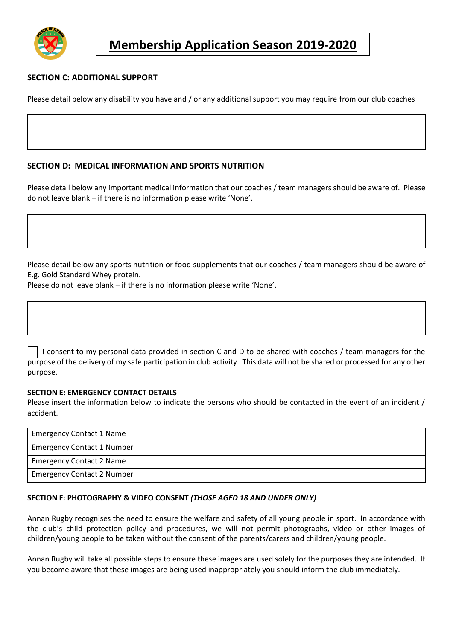

### **SECTION C: ADDITIONAL SUPPORT**

Please detail below any disability you have and / or any additional support you may require from our club coaches

#### **SECTION D: MEDICAL INFORMATION AND SPORTS NUTRITION**

Please detail below any important medical information that our coaches / team managers should be aware of. Please do not leave blank – if there is no information please write 'None'.

Please detail below any sports nutrition or food supplements that our coaches / team managers should be aware of E.g. Gold Standard Whey protein.

Please do not leave blank – if there is no information please write 'None'.

I consent to my personal data provided in section C and D to be shared with coaches / team managers for the purpose of the delivery of my safe participation in club activity. This data will not be shared or processed for any other purpose.

#### **SECTION E: EMERGENCY CONTACT DETAILS**

Please insert the information below to indicate the persons who should be contacted in the event of an incident / accident.

| <b>Emergency Contact 1 Name</b>   |  |
|-----------------------------------|--|
| <b>Emergency Contact 1 Number</b> |  |
| <b>Emergency Contact 2 Name</b>   |  |
| <b>Emergency Contact 2 Number</b> |  |

#### **SECTION F: PHOTOGRAPHY & VIDEO CONSENT** *(THOSE AGED 18 AND UNDER ONLY)*

Annan Rugby recognises the need to ensure the welfare and safety of all young people in sport. In accordance with the club's child protection policy and procedures, we will not permit photographs, video or other images of children/young people to be taken without the consent of the parents/carers and children/young people.

Annan Rugby will take all possible steps to ensure these images are used solely for the purposes they are intended. If you become aware that these images are being used inappropriately you should inform the club immediately.